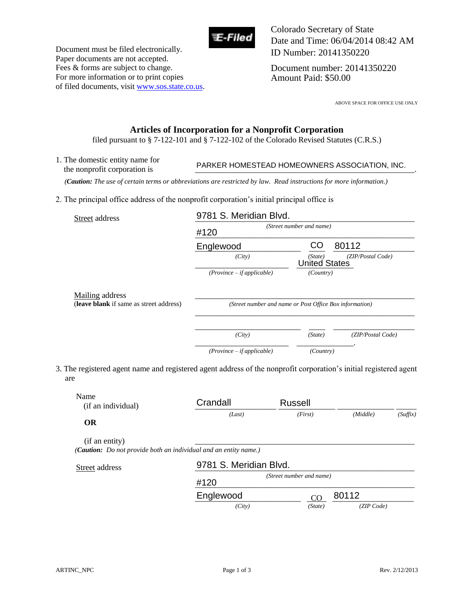

Document must be filed electronically. Paper documents are not accepted. Fees & forms are subject to change. For more information or to print copies of filed documents, visit www.sos.state.co.us. Colorado Secretary of State Date and Time: 06/04/2014 08:42 AM ID Number: 20141350220

Document number: 20141350220 Amount Paid: \$50.00

ABOVE SPACE FOR OFFICE USE ONLY

# **Articles of Incorporation for a Nonprofit Corporation**

filed pursuant to § 7-122-101 and § 7-122-102 of the Colorado Revised Statutes (C.R.S.)

1. The domestic entity name for The domestic entry name for<br>the nonprofit corporation is **PARKER HOMESTEAD HOMEOWNERS ASSOCIATION**, INC.

| the nonprofit corporation is                                                                                             | PARKER HOMESTEAD HOMEOWNERS ASSOCIATION, INC.           |                                 |                      |  |
|--------------------------------------------------------------------------------------------------------------------------|---------------------------------------------------------|---------------------------------|----------------------|--|
| (Caution: The use of certain terms or abbreviations are restricted by law. Read instructions for more information.)      |                                                         |                                 |                      |  |
| 2. The principal office address of the nonprofit corporation's initial principal office is                               |                                                         |                                 |                      |  |
| Street address                                                                                                           | 9781 S. Meridian Blvd.                                  |                                 |                      |  |
|                                                                                                                          | (Street number and name)<br>#120                        |                                 |                      |  |
|                                                                                                                          | Englewood                                               | CO                              | 80112                |  |
|                                                                                                                          | (City)                                                  | (State)<br><b>United States</b> | (ZIP/Postal Code)    |  |
|                                                                                                                          | $(Province - if applicable)$                            | (Country)                       |                      |  |
| Mailing address                                                                                                          |                                                         |                                 |                      |  |
| (leave blank if same as street address)                                                                                  | (Street number and name or Post Office Box information) |                                 |                      |  |
|                                                                                                                          | (City)                                                  | (State)                         | (ZIP/Postal Code)    |  |
|                                                                                                                          | $(Province - if applicable)$                            | (Country)                       |                      |  |
| 3. The registered agent name and registered agent address of the nonprofit corporation's initial registered agent<br>are |                                                         |                                 |                      |  |
| Name<br>(if an individual)                                                                                               | Crandall                                                | <b>Russell</b>                  |                      |  |
| OR                                                                                                                       | (Last)                                                  | (First)                         | (Middle)<br>(Suffix) |  |
| (if an entity)<br>(Caution: Do not provide both an individual and an entity name.)                                       |                                                         |                                 |                      |  |
| Street address                                                                                                           | 9781 S. Meridian Blvd.                                  |                                 |                      |  |
|                                                                                                                          | #120                                                    | (Street number and name)        |                      |  |
|                                                                                                                          | Englewood                                               | CO                              | 80112                |  |

| Name<br>(if an individual)<br><b>OR</b> | Crandall                                                                 | Russell                  |          |          |
|-----------------------------------------|--------------------------------------------------------------------------|--------------------------|----------|----------|
|                                         | (Last)                                                                   | (First)                  | (Middle) | (Suffix) |
| (if an entity)                          | ( <b>Caution:</b> Do not provide both an individual and an entity name.) |                          |          |          |
| Street address                          | 9781 S. Meridian Blvd.                                                   |                          |          |          |
|                                         |                                                                          | (Street number and name) |          |          |
|                                         | #120                                                                     |                          |          |          |

 *(City) (State) (ZIP Code)*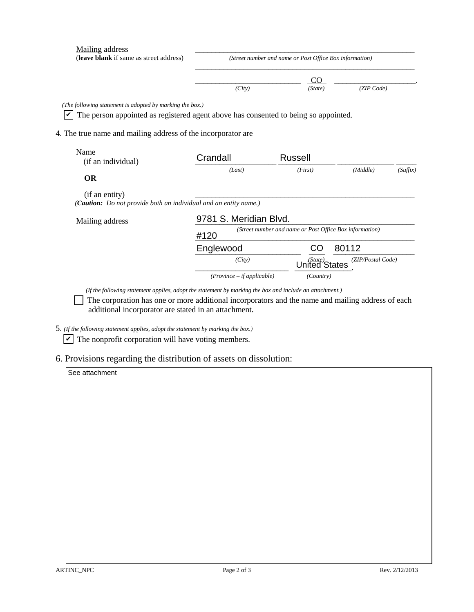| Mailing address<br>(leave blank if same as street address)                                                                                                                                                      | (Street number and name or Post Office Box information)         |                |                   |          |  |
|-----------------------------------------------------------------------------------------------------------------------------------------------------------------------------------------------------------------|-----------------------------------------------------------------|----------------|-------------------|----------|--|
|                                                                                                                                                                                                                 | (City)                                                          | CO.<br>(State) | (ZIP Code)        |          |  |
| (The following statement is adopted by marking the box.)<br>The person appointed as registered agent above has consented to being so appointed.<br>4. The true name and mailing address of the incorporator are |                                                                 |                |                   |          |  |
| Name<br>(if an individual)                                                                                                                                                                                      | Crandall                                                        | <b>Russell</b> |                   |          |  |
| <b>OR</b>                                                                                                                                                                                                       | (Last)                                                          | (First)        | (Middle)          | (Suffix) |  |
| (if an entity)<br>(Caution: Do not provide both an individual and an entity name.)                                                                                                                              |                                                                 |                |                   |          |  |
| Mailing address                                                                                                                                                                                                 | 9781 S. Meridian Blvd.                                          |                |                   |          |  |
|                                                                                                                                                                                                                 | (Street number and name or Post Office Box information)<br>#120 |                |                   |          |  |
|                                                                                                                                                                                                                 | Englewood                                                       | CO.            | 80112             |          |  |
|                                                                                                                                                                                                                 | (City)                                                          | United States  | (ZIP/Postal Code) |          |  |
|                                                                                                                                                                                                                 | $(Province - if applicable)$                                    | (Country)      |                   |          |  |

*(If the following statement applies, adopt the statement by marking the box and include an attachment.) (If the following statement applies, adopt the statement by marking the box and include an attachment.)* 

The corporation has one or more additional incorporators and the name and mailing address of each additional incorporator are stated in an attachment.<br>5. (If the following statement applies, adopt the statement by marking additional incorporator are stated in an attachment.

*5. (If the following statement applies, adopt the statement by marking the box.)* 

5. *(If the following statement applies, adopt the statement by marking the box.)* The nonprofit corporation will have voting members.

6. Provisions regarding the distribution of assets on dissolution: 6. Provisions regarding the distribution of assets on dissolution:

## See attachment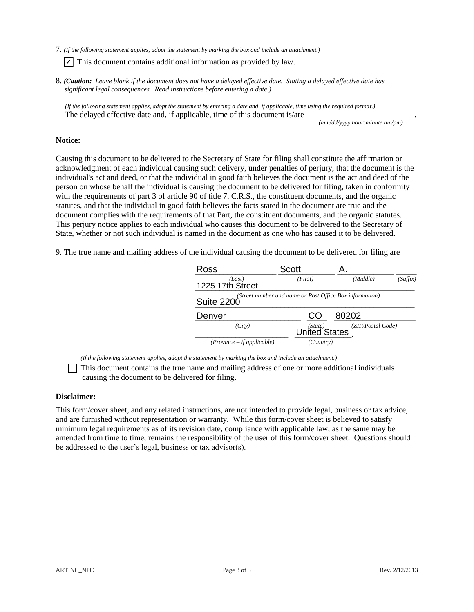7. (If the following statement applies, adopt the statement by marking the box and include an attachment.)

 $\triangledown$  This document contains additional information as provided by law.

*8. (Caution: Leave blank if the document does not have a delayed effective date. Stating a delayed effective date has significant legal consequences. Read instructions before entering a date.)*   $\blacktriangleright$  This document contains additional information as provided by law.<br>8. (*Caution: Leave blank* if the document does not have a delayed effective date. Stating a delayed effective date has significant legal consequ

(If the following statement applies, adopt the statement by entering a date and, if applicable, time using the required format.) The delayed effective date and, if applicable, time of this document is/are  $\frac{1}{\frac{(mm/dd/yyy) \text{ hour: minute am/pm}}{1-\frac{1}{1-\frac{1}{1-\frac{1}{1-\frac{1}{1-\frac{1}{1-\frac{1}{1-\frac{1}{1-\frac{1}{1-\frac{1}{1-\frac{1}{1-\frac{1}{1-\frac{1}{1-\frac{1}{1-\frac{1}{1-\frac{1}{1-\frac{1}{1-\frac{1}{1-\frac{1}{1-\frac{1}{1-\frac{1$ 

*(mm/dd/yyyy hour:minute am/pm)* 

## **Notice: Notice:**

Causing this document to be delivered to the Secretary of State for filing shall constitute the affirmation or<br>acknowledgment of each individual causing such delivery, under penalties of perjury, that the document is the acknowledgment of each individual causing such delivery, under penalties of perjury, that the document is the individual's act and deed, or that the individual in good faith believes the document is the act and deed of the person on whose behalf the individual is causing the document to be delivered for filing, taken in conformity with the requirements of part 3 of article 90 of title 7, C.R.S., the constituent documents, and the organic statutes, and that the individual in good faith believes the facts stated in the document are true and the document complies with the requirements of that Part, the constituent documents, and the organic statutes. This perjury notice applies to each individual who causes this document to be delivered to the Secretary of individual's act and deed, or that the individual in good faith believes the document is the act and deed of the<br>person on whose behalf the individual is causing the document to be delivered for filing, taken in conformity statutes, and that the individual in good faith believes the facts stated in the document are true and the<br>document complies with the requirements of that Part, the constituent documents, and the organic statutes.<br>This per This document contains additional information as provided by law.<br>
Caution: <u>Leave blank</u> if the document does not have a delayed effective date. Stating a delayed effective<br>
significant legal consequences. Read instructi

State, whether or not such individual is named in the document as one who has caused it to be delivered.<br>9. The true name and mailing address of the individual causing the document to be delivered for filing are 9. The true name and mailing address of the individual causing the document to be delivered for filing are

| <b>Ross</b>                  | <b>Scott</b>                                            | Α.                |          |
|------------------------------|---------------------------------------------------------|-------------------|----------|
| (Last)<br>1225 17th Street   | (First)                                                 | (Middle)          | (Suffix) |
| <b>Suite 2200</b>            | (Street number and name or Post Office Box information) |                   |          |
| Denver                       | CO                                                      | 80202             |          |
| (City)                       | (State)<br>United States                                | (ZIP/Postal Code) |          |
| $(Province - if applicable)$ | (Country)                                               |                   |          |

*(If the following statement applies, adopt the statement by marking the box and include an attachment.) (If the following statement applies, adopt the statement by marking the box and include an attachment.)* 

This document contains the true name and mailing address of one or more additional individuals causing the document to be delivered for filing. causing the document to be delivered for filing.

#### **Disclaimer: Disclaimer:**

This form/cover sheet, and any related instructions, are not intended to provide legal, business or tax advice, This form/cover sheet, and any related instructions, are not intended to provide legal, business or tax advice,<br>and are furnished without representation or warranty. While this form/cover sheet is believed to satisfy minimum legal requirements as of its revision date, compliance with applicable law, as the same may be amended from time to time, remains the responsibility of the user of this form/cover sheet. Questions should be addressed to the user's legal, business or tax advisor(s). minimum legal requirements as of its revision date, compliance with applicable law, as the same may be<br>amended from time to time, remains the responsibility of the user of this form/cover sheet. Questions should<br>be address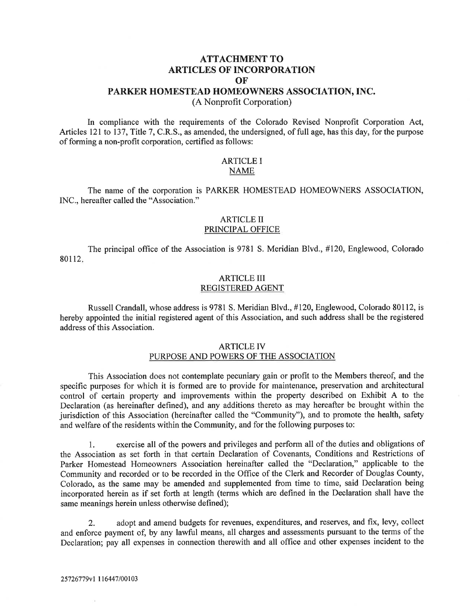# **ATTACHMENT TO ARTICLES OF INCORPORATION OF**

#### **PARKER HOMESTEAD HOMEOWNERS ASSOCIATION, INC.**

(A Nonprofit Corporation)

In compliance with the requirements of the Colorado Revised Nonprofit Corporation Act, Articles 121 to 137, Title 7, C.R.S., as amended, the undersigned, of full age, has this day, for the purpose of forming a non-profit corporation, certified as follows:

## ARTICLE I NAME

The name of the corporation is PARKER HOMESTEAD HOMEOWNERS ASSOCIATION, 1NC., hereafter called the "Association."

## ARTICLE II PRINCIPAL OFFICE

The principal office of the Association is 9781 S. Meridian Blvd., #120, Englewood, Colorado 80112.

# ARTICLE III REGISTERED AGENT

Russell Crandall, whose address is 9781 S. Meridian Blvd., #120, Englewood, Colorado 80112, is hereby appointed the initial registered agent of this Association, and such address shall be the registered address of this Association.

## ARTICLE lv PURPOSE AND POWERS OF THE ASSOCIATION

This Association does not contemplate pecuniary gain or profit to the Members thereof, and the specific purposes for which it is formed are to provide for maintenance, preservation and architectural control of certain property and improvements within the property described on Exhibit A to the Declaration (as hereinafter defined), and any additions thereto as may hereafter be brought within the jurisdiction of this Association (hereinafter called the "Community"), and to promote the health, safety and welfare of the residents within the Community, and for the following purposes to:

1. exercise all of the powers and privileges and perform all of the duties and obligations of the Association as set forth in that certain Declaration of Covenants, Conditions and Restrictions of Parker Homestead Homeowners Association hereinafter called the "Declaration," applicable to the Community and recorded or to be recorded in the Office of the Clerk and Recorder of Douglas County, Colorado, as the same may be amended and supplemented from time to time, said Declaration being incorporated herein as if set forth at length (terms which are defined in the Declaration shall have the same meanings herein unless otherwise defined);

2. adopt and amend budgets for revenues, expenditures, and reserves, and fix, levy, collect and enforce payment of, by any lawful means, all charges and assessments pursuant to the terms of the Declaration; pay all expenses in connection therewith and all office and other expenses incident to the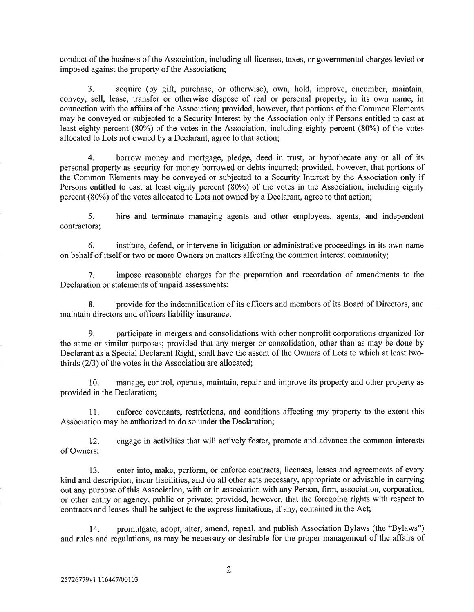conduct of the business of the Association, including all licenses, taxes, or governmental charges levied or imposed against the property of the Association;

3. acquire (by gift, purchase, or otherwise), own, hold, improve, encumber, maintain, convey, sell, lease, transfer or otherwise dispose of real or personal property, in its own name, in connection with the affairs of the Association; provided, however, that portions of the Common Elements may be conveyed or subjected to a Security Interest by the Association only if Persons entitled to cast at least eighty percent (80%) of the votes in the Association, including eighty percent (80%) of the votes allocated to Lots not owned by a Declarant, agree to that action;

4. borrow money and mortgage, pledge, deed in trust, or hypothecate any or all of its personal property as security for money borrowed or debts incurred; provided, however, that portions of the Common Elements may be conveyed or subjected to a Security Interest by the Association only if Persons entitled to cast at least eighty percent (80%) of the votes in the Association, including eighty percent (80%) of the votes allocated to Lots not owned by a Declarant, agree to that action;

5. hire and terminate managing agents and other employees, agents, and independent contractors;

6. institute, defend, or intervene in litigation or administrative proceedings in its own name on behalf of itself or two or more Owners on matters affecting the common interest community;

7. impose reasonable charges for the preparation and recordation of amendments to the Declaration or statements of unpaid assessments;

8. provide for the indemnification of its officers and members of its Board of Directors, and maintain directors and officers liability insurance;

9. participate in mergers and consolidations with other nonprofit corporations organized for the same or similar purposes; provided that any merger or consolidation, other than as may be done by Declarant as a Special Declarant Right, shall have the assent of the Owners of Lots to which at least twothirds (2/3) of the votes in the Association are allocated;

10. manage, control, operate, maintain, repair and improve its property and other property as provided in the Declaration;

11. enforce covenants, restrictions, and conditions affecting any property to the extent this Association may be authorized to do so under the Declaration;

12. engage in activities that will actively foster, promote and advance the common interests of Owners;

13. enter into, make, perform, or enforce contracts, licenses, leases and agreements of every kind and description, incur liabilities, and do all other acts necessary, appropriate or advisable in carrying out any purpose of this Association, with or in association with any Person, firm, association, corporation, or other entity or agency, public or private; provided, however, that the foregoing rights with respect to contracts and leases shall be subject to the express limitations, if any, contained in the Act;

14. promulgate, adopt, alter, amend, repeal, and publish Association Bylaws (the "Bylaws") and rules and regulations, as may be necessary or desirable for the proper management of the affairs of

 $\overline{2}$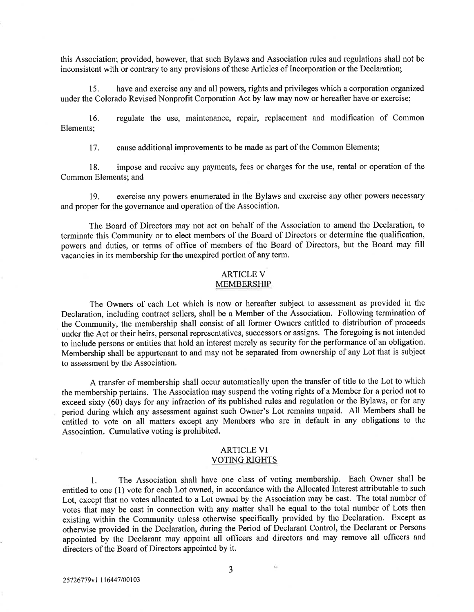this Association; provided, however, that such Bylaws and Association rules and regulations shall not be inconsistent with or contrary to any provisions of these Articles of Incorporation or the Declaration;

15. have and exercise any and all powers, rights and privileges which a corporation organized under the Colorado Revised Nonprofit Corporation Act by law may now or hereafter have or exercise;

16. regulate the use, maintenance, repair, replacement and modification of Common Elements;

17. cause additional improvements to be made as part of the Common Elements;

18. impose and receive any payments, fees or charges for the use, rental or operation of the Common Elements; and

19. exercise any powers enumerated in the Bylaws and exercise any other powers necessary and proper for the governance and operation of the Association.

The Board of Directors may not act on behalf of the Association to amend the Declaration, to terminate this Community or to elect members of the Board of Directors or determine the qualification, powers and duties, or terms of office of members of the Board of Directors, but the Board may fill vacancies in its membership for the unexpired portion of any term.

#### ARTICLE V MEMBERSHIP

The Owners of each Lot which is now or hereafter subject to assessment as provided in the Declaration, including contract sellers, shall be a Member of the Association. Following termination of the Community, the membership shall consist of all former Owners entitled to distribution of proceeds under the Act or their heirs, personal representatives, successors or assigns. The foregoing is not intended to include persons or entities that hold an interest merely as security for the performance of an obligation. Membership shall be appurtenant to and may not be separated from ownership of any Lot that is subject to assessment by the Association.

A transfer of membership shall occur automatically upon the transfer of title to the Lot to which the membership pertains. The Association may suspend the voting rights of a Member for a period not to exceed sixty (60) days for any infraction of its published rules and regulation or the Bylaws, or for any period during which any assessment against such Owner's Lot remains unpaid. All Members shall be entitled to vote on all matters except any Members who are in default in any obligations to the Association. Cumulative voting is prohibited.

#### ARTICLE VI VOTING RIGHTS

1. The Association shall have one class of voting membership. Each Owner shall be entitled to one (1) vote for each Lot owned, in accordance with the Allocated Interest attributable to such Lot, except that no votes allocated to a Lot owned by the Association may be cast. The total number of votes that may be cast in connection with any matter shall be equal to the total number of Lots then existing within the Community unless otherwise specifically provided by the Declaration. Except as otherwise provided in the Declaration, during the Period of Declarant Control, the Declarant or Persons appointed by the Declarant may appoint all officers and directors and may remove all officers and directors of the Board of Directors appointed by it.

3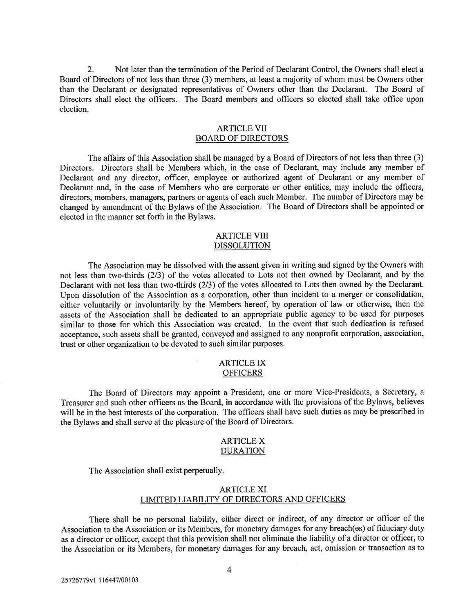2. Not later than the termination of the Period of Declarant Control, the Owners shall elect a Board of Directors of not less than three (3) members, at least a majority of whom must be Owners other than the Declarant or designated representatives of Owners other than the Declarant. The Board of Directors shall elect the officers. The Board members and officers so elected shall take office upon election.

# ARTICLE VII BOARD OF DIRECTORS

The affairs of this Association shall be managed by a Board of Directors of not less than three (3) Directors. Directors shall be Members which, in the case of Declarant, may include any member of Declarant and any director, officer, employee or authorized agent of Declarant or any member of Declarant and, in the case of Members who are corporate or other entities, may include the officers, directors, members, managers, partners or agents of each such Member. The number of Directors may be changed by amendment of the Bylaws of the Association. The Board of Directors shall be appointed or elected in the manner set forth in the Bylaws.

# ARTICLE VIII DISSOLUTION

The Association may be dissolved with the assent given in writing and signed by the Owners with not less than two-thirds (2/3) of the votes allocated to Lots not then owned by Declarant, and by the Declarant with not less than two-thirds (2/3) of the votes allocated to Lots then owned by the Declarant. Upon dissolution of the Association as a corporation, other than incident to a merger or consolidation, either voluntarily or involuntarily by the Members hereof, by operation of law or otherwise, then the assets of the Association shall be dedicated to an appropriate public agency to be used for purposes similar to those for which this Association was created. In the event that such dedication is refused acceptance, such assets shall be granted, conveyed and assigned to any nonprofit corporation, association, trust or other organization to be devoted to such similar purposes.

## ARTICLE IX **OFFICERS**

The Board of Directors may appoint a President, one or more Vice-Presidents, a Secretary, a Treasurer and such other officers as the Board, in accordance with the provisions of the Bylaws, believes will be in the best interests of the corporation. The officers shall have such duties as may be prescribed in the Bylaws and shall serve at the pleasure of the Board of Directors.

#### ARTICLE X DURATION

The Association shall exist perpetually.

# ARTICLE XI LiMITED LIABILITY OF DIRECTORS AND OFFICERS

There shall be no personal liability, either direct or indirect, of any director or officer of the Association to the Association or its Members, for monetary damages for any breach(es) of fiduciary duty as a director or officer, except that this provision shall not eliminate the liability of a director or officer, to the Association or its Members, for monetary damages for any breach, act, omission or transaction as to